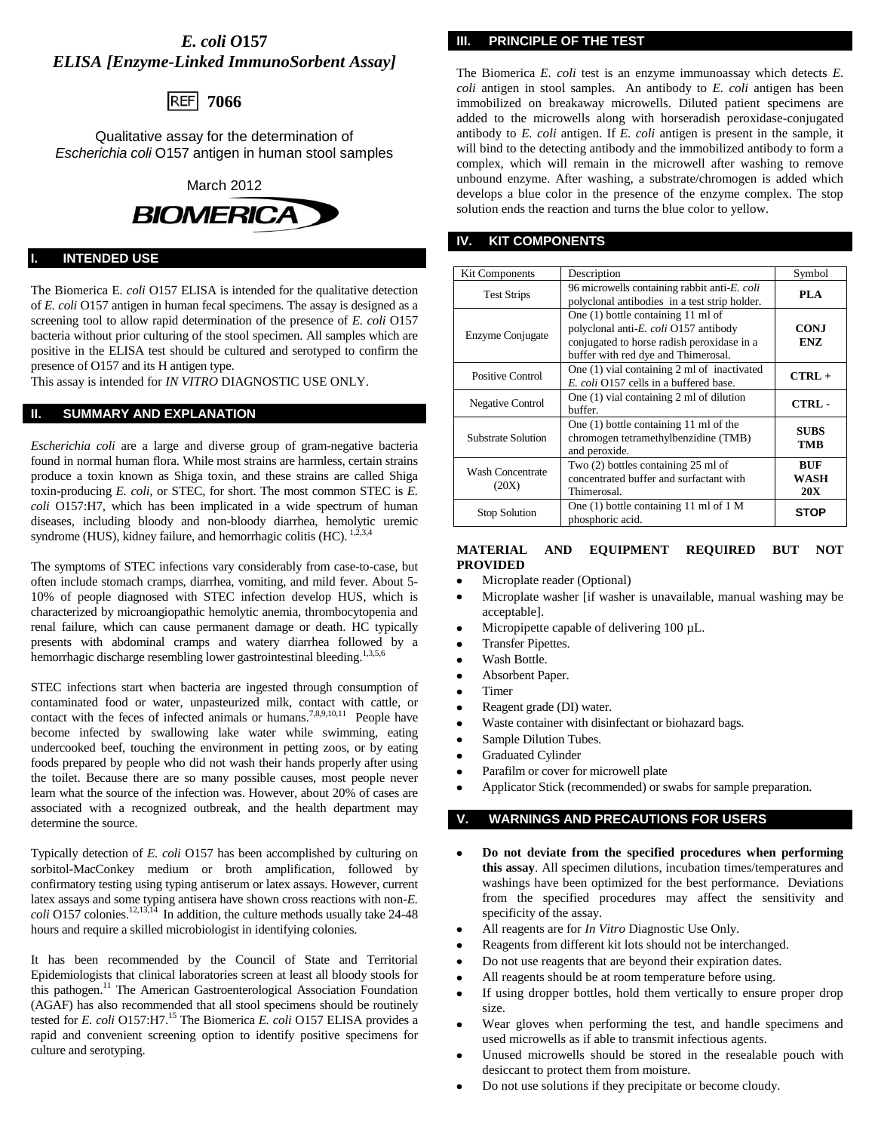# *E. coli O***157** *ELISA [Enzyme-Linked ImmunoSorbent Assay]*



Qualitative assay for the determination of *Escherichia coli* O157 antigen in human stool samples



#### **INTENDED USE**

The Biomerica E*. coli* O157 ELISA is intended for the qualitative detection of *E. coli* O157 antigen in human fecal specimens. The assay is designed as a screening tool to allow rapid determination of the presence of *E. coli* O157 bacteria without prior culturing of the stool specimen. All samples which are positive in the ELISA test should be cultured and serotyped to confirm the presence of O157 and its H antigen type.

This assay is intended for *IN VITRO* DIAGNOSTIC USE ONLY.

## **II. SUMMARY AND EXPLANATION**

*Escherichia coli* are a large and diverse group of gram-negative bacteria found in normal human flora. While most strains are harmless, certain strains produce a toxin known as Shiga toxin, and these strains are called Shiga toxin-producing *E. coli*, or STEC, for short. The most common STEC is *E. coli* O157:H7, which has been implicated in a wide spectrum of human diseases, including bloody and non-bloody diarrhea, hemolytic uremic syndrome (HUS), kidney failure, and hemorrhagic colitis (HC).<sup>1</sup>

The symptoms of STEC infections vary considerably from case-to-case, but often include stomach cramps, diarrhea, vomiting, and mild fever. About 5- 10% of people diagnosed with STEC infection develop HUS, which is characterized by microangiopathic hemolytic anemia, thrombocytopenia and renal failure, which can cause permanent damage or death. HC typically presents with abdominal cramps and watery diarrhea followed by a hemorrhagic discharge resembling lower gastrointestinal bleeding.<sup>1,3,5,6</sup>

STEC infections start when bacteria are ingested through consumption of contaminated food or water, unpasteurized milk, contact with cattle, or contact with the feces of infected animals or humans.<sup>7,8,9,10,11</sup> People have become infected by swallowing lake water while swimming, eating undercooked beef, touching the environment in petting zoos, or by eating foods prepared by people who did not wash their hands properly after using the toilet. Because there are so many possible causes, most people never learn what the source of the infection was. However, about 20% of cases are associated with a recognized outbreak, and the health department may determine the source.

Typically detection of *E. coli* O157 has been accomplished by culturing on sorbitol-MacConkey medium or broth amplification, followed by confirmatory testing using typing antiserum or latex assays. However, current latex assays and some typing antisera have shown cross reactions with non-*E. coli* O157 colonies.<sup>12,13,14</sup> In addition, the culture methods usually take 24-48 hours and require a skilled microbiologist in identifying colonies.

It has been recommended by the Council of State and Territorial Epidemiologists that clinical laboratories screen at least all bloody stools for this pathogen.<sup>11</sup> The American Gastroenterological Association Foundation (AGAF) has also recommended that all stool specimens should be routinely tested for *E. coli* O157:H7.<sup>15</sup> The Biomerica *E. coli* O157 ELISA provides a rapid and convenient screening option to identify positive specimens for culture and serotyping.

**III. PRINCIPLE OF THE TEST**

The Biomerica *E. coli* test is an enzyme immunoassay which detects *E. coli* antigen in stool samples. An antibody to *E. coli* antigen has been immobilized on breakaway microwells. Diluted patient specimens are added to the microwells along with horseradish peroxidase-conjugated antibody to *E. coli* antigen. If *E. coli* antigen is present in the sample, it will bind to the detecting antibody and the immobilized antibody to form a complex, which will remain in the microwell after washing to remove unbound enzyme. After washing, a substrate/chromogen is added which develops a blue color in the presence of the enzyme complex. The stop solution ends the reaction and turns the blue color to yellow.

## **IV. KIT COMPONENTS**

| <b>Kit Components</b>            | Description                                                                                                                                                      | Symbol                           |
|----------------------------------|------------------------------------------------------------------------------------------------------------------------------------------------------------------|----------------------------------|
| <b>Test Strips</b>               | 96 microwells containing rabbit anti-E. coli<br>polyclonal antibodies in a test strip holder.                                                                    | <b>PLA</b>                       |
| Enzyme Conjugate                 | One (1) bottle containing 11 ml of<br>polyclonal anti-E. coli O157 antibody<br>conjugated to horse radish peroxidase in a<br>buffer with red dye and Thimerosal. | <b>CONJ</b><br><b>ENZ</b>        |
| Positive Control                 | One (1) vial containing 2 ml of inactivated<br>E. coli O157 cells in a buffered base.                                                                            | $CTRL +$                         |
| Negative Control                 | One $(1)$ vial containing 2 ml of dilution<br>buffer.                                                                                                            | CTRL-                            |
| Substrate Solution               | One $(1)$ bottle containing 11 ml of the<br>chromogen tetramethylbenzidine (TMB)<br>and peroxide.                                                                | <b>SUBS</b><br>TMB               |
| <b>Wash Concentrate</b><br>(20X) | Two (2) bottles containing 25 ml of<br>concentrated buffer and surfactant with<br>Thimerosal.                                                                    | <b>BUF</b><br>WASH<br><b>20X</b> |
| <b>Stop Solution</b>             | One $(1)$ bottle containing 11 ml of 1 M<br>phosphoric acid.                                                                                                     | <b>STOP</b>                      |

### **MATERIAL AND EQUIPMENT REQUIRED BUT NOT PROVIDED**

- Microplate reader (Optional)
- Microplate washer [if washer is unavailable, manual washing may be acceptable].
- Micropipette capable of delivering 100 µL.  $\bullet$
- Transfer Pipettes.
- Wash Bottle.
- Absorbent Paper.
- Timer
- Reagent grade (DI) water.
- Waste container with disinfectant or biohazard bags.
- Sample Dilution Tubes.
- Graduated Cylinder  $\bullet$
- Parafilm or cover for microwell plate
- Applicator Stick (recommended) or swabs for sample preparation.

## **V. WARNINGS AND PRECAUTIONS FOR USERS**

- **Do not deviate from the specified procedures when performing this assay**. All specimen dilutions, incubation times/temperatures and washings have been optimized for the best performance. Deviations from the specified procedures may affect the sensitivity and specificity of the assay.
- All reagents are for *In Vitro* Diagnostic Use Only.
- Reagents from different kit lots should not be interchanged.
- Do not use reagents that are beyond their expiration dates.
- All reagents should be at room temperature before using.
- If using dropper bottles, hold them vertically to ensure proper drop size.
- Wear gloves when performing the test, and handle specimens and used microwells as if able to transmit infectious agents.
- Unused microwells should be stored in the resealable pouch with desiccant to protect them from moisture.
- Do not use solutions if they precipitate or become cloudy.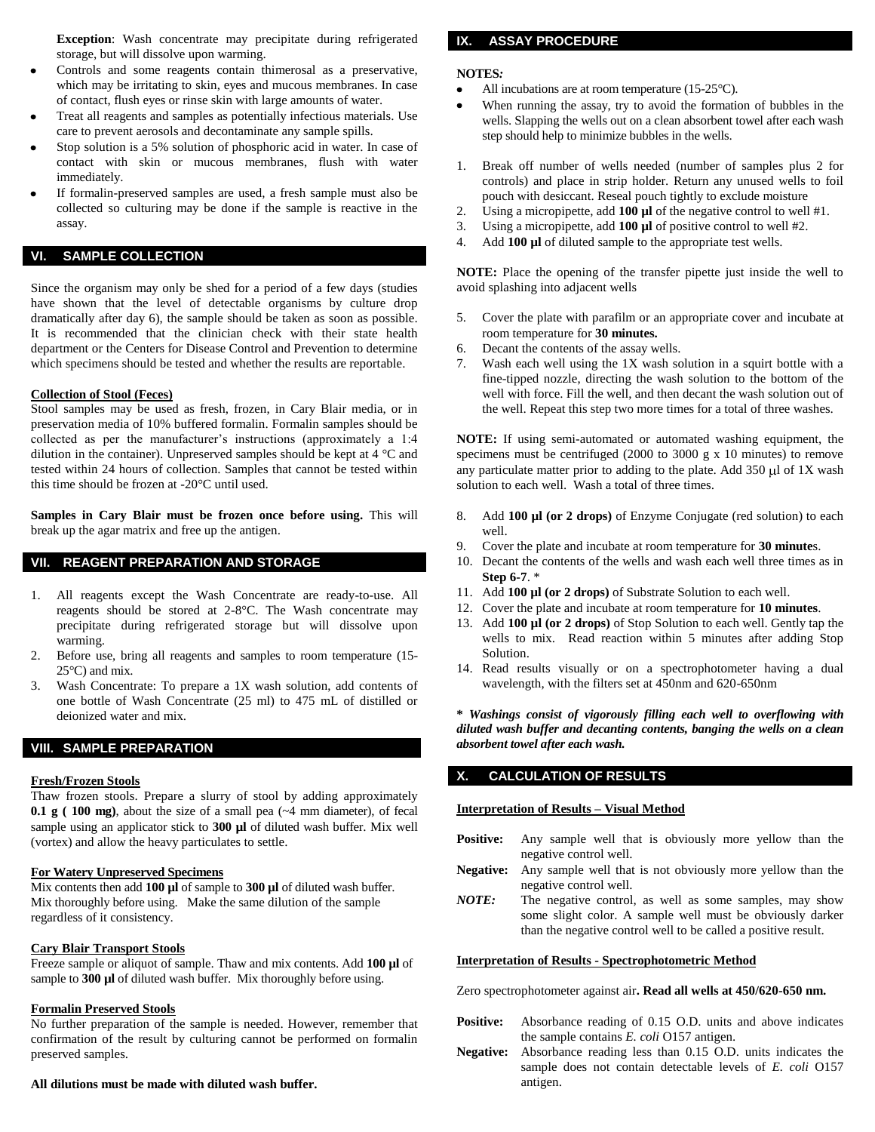**Exception**: Wash concentrate may precipitate during refrigerated storage, but will dissolve upon warming.

- Controls and some reagents contain thimerosal as a preservative, which may be irritating to skin, eyes and mucous membranes. In case of contact, flush eyes or rinse skin with large amounts of water.
- Treat all reagents and samples as potentially infectious materials. Use care to prevent aerosols and decontaminate any sample spills.
- Stop solution is a 5% solution of phosphoric acid in water. In case of contact with skin or mucous membranes, flush with water immediately.
- If formalin-preserved samples are used, a fresh sample must also be collected so culturing may be done if the sample is reactive in the assay.

## **VI. SAMPLE COLLECTION**

Since the organism may only be shed for a period of a few days (studies have shown that the level of detectable organisms by culture drop dramatically after day 6), the sample should be taken as soon as possible. It is recommended that the clinician check with their state health department or the Centers for Disease Control and Prevention to determine which specimens should be tested and whether the results are reportable.

#### **Collection of Stool (Feces)**

Stool samples may be used as fresh, frozen, in Cary Blair media, or in preservation media of 10% buffered formalin. Formalin samples should be collected as per the manufacturer's instructions (approximately a 1:4 dilution in the container). Unpreserved samples should be kept at 4 °C and tested within 24 hours of collection. Samples that cannot be tested within this time should be frozen at -20°C until used.

Samples in Cary Blair must be frozen once before using. This will break up the agar matrix and free up the antigen.

## **VII. REAGENT PREPARATION AND STORAGE**

- 1. All reagents except the Wash Concentrate are ready-to-use. All reagents should be stored at 2-8°C. The Wash concentrate may precipitate during refrigerated storage but will dissolve upon warming.
- 2. Before use, bring all reagents and samples to room temperature (15-  $25^{\circ}$ C) and mix.
- Wash Concentrate: To prepare a 1X wash solution, add contents of one bottle of Wash Concentrate (25 ml) to 475 mL of distilled or deionized water and mix.

### **VIII. SAMPLE PREPARATION**

#### **Fresh/Frozen Stools**

Thaw frozen stools. Prepare a slurry of stool by adding approximately **0.1 g ( 100 mg)**, about the size of a small pea (~4 mm diameter), of fecal sample using an applicator stick to **300 µl** of diluted wash buffer. Mix well (vortex) and allow the heavy particulates to settle.

## **For Watery Unpreserved Specimens**

Mix contents then add **100 µl** of sample to **300 µl** of diluted wash buffer. Mix thoroughly before using. Make the same dilution of the sample regardless of it consistency.

#### **Cary Blair Transport Stools**

Freeze sample or aliquot of sample. Thaw and mix contents. Add **100 µl** of sample to 300  $\mu$ l of diluted wash buffer. Mix thoroughly before using.

#### **Formalin Preserved Stools**

No further preparation of the sample is needed. However, remember that confirmation of the result by culturing cannot be performed on formalin preserved samples.

## **All dilutions must be made with diluted wash buffer.**

## **IX. ASSAY PROCEDURE**

#### **NOTES***:*

All incubations are at room temperature (15-25°C).

- When running the assay, try to avoid the formation of bubbles in the wells. Slapping the wells out on a clean absorbent towel after each wash step should help to minimize bubbles in the wells.
- 1. Break off number of wells needed (number of samples plus 2 for controls) and place in strip holder. Return any unused wells to foil pouch with desiccant. Reseal pouch tightly to exclude moisture
- 2. Using a micropipette, add **100 µl** of the negative control to well #1.
- 3. Using a micropipette, add **100 µl** of positive control to well #2.
- 4. Add **100 µl** of diluted sample to the appropriate test wells.

**NOTE:** Place the opening of the transfer pipette just inside the well to avoid splashing into adjacent wells

- 5. Cover the plate with parafilm or an appropriate cover and incubate at room temperature for **30 minutes.**
- 6. Decant the contents of the assay wells.
- 7. Wash each well using the 1X wash solution in a squirt bottle with a fine-tipped nozzle, directing the wash solution to the bottom of the well with force. Fill the well, and then decant the wash solution out of the well. Repeat this step two more times for a total of three washes.

**NOTE:** If using semi-automated or automated washing equipment, the specimens must be centrifuged (2000 to 3000 g x 10 minutes) to remove any particulate matter prior to adding to the plate. Add  $350 \mu l$  of 1X wash solution to each well. Wash a total of three times.

- 8. Add **100 µl (or 2 drops)** of Enzyme Conjugate (red solution) to each well.
- 9. Cover the plate and incubate at room temperature for **30 minute**s.
- 10. Decant the contents of the wells and wash each well three times as in **Step 6-7**. \*
- 11. Add **100 µl (or 2 drops)** of Substrate Solution to each well.
- 12. Cover the plate and incubate at room temperature for **10 minutes**.
- 13. Add **100 µl (or 2 drops)** of Stop Solution to each well. Gently tap the wells to mix. Read reaction within 5 minutes after adding Stop Solution.
- 14. Read results visually or on a spectrophotometer having a dual wavelength, with the filters set at 450nm and 620-650nm

**\*** *Washings consist of vigorously filling each well to overflowing with diluted wash buffer and decanting contents, banging the wells on a clean absorbent towel after each wash.* 

## **X. CALCULATION OF RESULTS**

#### **Interpretation of Results – Visual Method**

- **Positive:** Any sample well that is obviously more yellow than the negative control well.
- **Negative:** Any sample well that is not obviously more yellow than the negative control well.
- *NOTE:* The negative control, as well as some samples, may show some slight color. A sample well must be obviously darker than the negative control well to be called a positive result.

#### **Interpretation of Results - Spectrophotometric Method**

Zero spectrophotometer against air**. Read all wells at 450/620-650 nm.**

- Positive: Absorbance reading of 0.15 O.D. units and above indicates the sample contains *E. coli* O157 antigen.
- **Negative:** Absorbance reading less than 0.15 O.D. units indicates the sample does not contain detectable levels of *E. coli* O157 antigen.